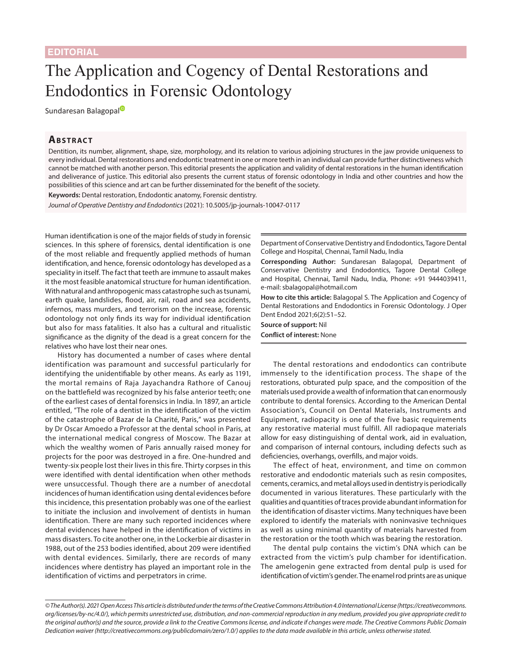## The Application and Cogency of Dental Restorations and Endodontics in Forensic Odontology

Sundaresan Ba[l](https://orcid.org/0000-0003-3256-5842)agopal<sup>®</sup>

## **ABSTRACT**

Dentition, its number, alignment, shape, size, morphology, and its relation to various adjoining structures in the jaw provide uniqueness to every individual. Dental restorations and endodontic treatment in one or more teeth in an individual can provide further distinctiveness which cannot be matched with another person. This editorial presents the application and validity of dental restorations in the human identification and deliverance of justice. This editorial also presents the current status of forensic odontology in India and other countries and how the possibilities of this science and art can be further disseminated for the benefit of the society.

**Keywords:** Dental restoration, Endodontic anatomy, Forensic dentistry.

*Journal of Operative Dentistry and Endodontics* (2021): 10.5005/jp-journals-10047-0117

Human identification is one of the major fields of study in forensic sciences. In this sphere of forensics, dental identification is one of the most reliable and frequently applied methods of human identification, and hence, forensic odontology has developed as a speciality in itself. The fact that teeth are immune to assault makes it the most feasible anatomical structure for human identification. With natural and anthropogenic mass catastrophe such as tsunami, earth quake, landslides, flood, air, rail, road and sea accidents, infernos, mass murders, and terrorism on the increase, forensic odontology not only finds its way for individual identification but also for mass fatalities. It also has a cultural and ritualistic significance as the dignity of the dead is a great concern for the relatives who have lost their near ones.

History has documented a number of cases where dental identification was paramount and successful particularly for identifying the unidentifiable by other means. As early as 1191, the mortal remains of Raja Jayachandra Rathore of Canouj on the battlefield was recognized by his false anterior teeth; one of the earliest cases of dental forensics in India. In 1897, an article entitled, "The role of a dentist in the identification of the victim of the catastrophe of Bazar de la Charité, Paris," was presented by Dr Oscar Amoedo a Professor at the dental school in Paris, at the international medical congress of Moscow. The Bazar at which the wealthy women of Paris annually raised money for projects for the poor was destroyed in a fire. One-hundred and twenty-six people lost their lives in this fire. Thirty corpses in this were identified with dental identification when other methods were unsuccessful. Though there are a number of anecdotal incidences of human identification using dental evidences before this incidence, this presentation probably was one of the earliest to initiate the inclusion and involvement of dentists in human identification. There are many such reported incidences where dental evidences have helped in the identification of victims in mass disasters. To cite another one, in the Lockerbie air disaster in 1988, out of the 253 bodies identified, about 209 were identified with dental evidences. Similarly, there are records of many incidences where dentistry has played an important role in the identification of victims and perpetrators in crime.

Department of Conservative Dentistry and Endodontics, Tagore Dental College and Hospital, Chennai, Tamil Nadu, India

**Corresponding Author:** Sundaresan Balagopal, Department of Conservative Dentistry and Endodontics, Tagore Dental College and Hospital, Chennai, Tamil Nadu, India, Phone: +91 9444039411, e-mail: sbalagopal@hotmail.com

**How to cite this article:** Balagopal S. The Application and Cogency of Dental Restorations and Endodontics in Forensic Odontology. J Oper Dent Endod 2021;6(2):51–52.

**Source of support:** Nil **Conflict of interest:** None

The dental restorations and endodontics can contribute immensely to the identification process. The shape of the restorations, obturated pulp space, and the composition of the materials used provide a wealth of information that can enormously contribute to dental forensics. According to the American Dental Association's, Council on Dental Materials, Instruments and Equipment, radiopacity is one of the five basic requirements any restorative material must fulfill. All radiopaque materials allow for easy distinguishing of dental work, aid in evaluation, and comparison of internal contours, including defects such as deficiencies, overhangs, overfills, and major voids.

The effect of heat, environment, and time on common restorative and endodontic materials such as resin composites, cements, ceramics, and metal alloys used in dentistry is periodically documented in various literatures. These particularly with the qualities and quantities of traces provide abundant information for the identification of disaster victims. Many techniques have been explored to identify the materials with noninvasive techniques as well as using minimal quantity of materials harvested from the restoration or the tooth which was bearing the restoration.

The dental pulp contains the victim's DNA which can be extracted from the victim's pulp chamber for identification. The amelogenin gene extracted from dental pulp is used for identification of victim's gender. The enamel rod prints are as unique

*<sup>©</sup> The Author(s). 2021 Open Access This article is distributed under the terms of the Creative Commons Attribution 4.0 International License ([https://creativecommons.](https://creativecommons.org/licenses/by-nc/4.0/) [org/licenses/by-nc/4.0/](https://creativecommons.org/licenses/by-nc/4.0/)), which permits unrestricted use, distribution, and non-commercial reproduction in any medium, provided you give appropriate credit to the original author(s) and the source, provide a link to the Creative Commons license, and indicate if changes were made. The Creative Commons Public Domain Dedication waiver ([http://creativecommons.org/publicdomain/zero/1.0/\)](http://creativecommons.org/publicdomain/zero/1.0/) applies to the data made available in this article, unless otherwise stated.*